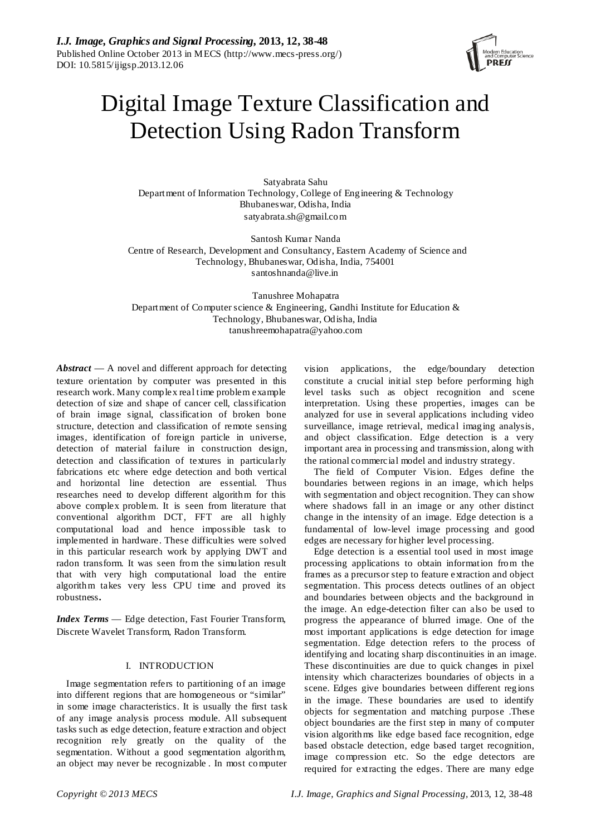

# Digital Image Texture Classification and Detection Using Radon Transform

Satyabrata Sahu Department of Information Technology, College of Engineering & Technology Bhubaneswar, Odisha, India satyabrata.sh@gmail.com

Santosh Kumar Nanda Centre of Research, Development and Consultancy, Eastern Academy of Science and Technology, Bhubaneswar, Odisha, India, 754001 santoshnanda@live.in

Tanushree Mohapatra Department of Computer science & Engineering, Gandhi Institute for Education & Technology, Bhubaneswar, Odisha, India tanushreemohapatra@yahoo.com

*Abstract* — A novel and different approach for detecting texture orientation by computer was presented in this research work. Many complex real time problem example detection of size and shape of cancer cell, classification of brain image signal, classification of broken bone structure, detection and classification of remote sensing images, identification of foreign particle in universe, detection of material failure in construction design, detection and classification of textures in particularly fabrications etc where edge detection and both vertical and horizontal line detection are essential. Thus researches need to develop different algorithm for this above complex problem. It is seen from literature that conventional algorithm DCT, FFT are all highly computational load and hence impossible task to implemented in hardware. These difficulties were solved in this particular research work by applying DWT and radon transform. It was seen from the simulation result that with very high computational load the entire algorithm takes very less CPU time and proved its robustness**.**

*Index Terms* — Edge detection, Fast Fourier Transform, Discrete Wavelet Transform, Radon Transform.

# I. INTRODUCTION

Image segmentation refers to partitioning of an image into different regions that are homogeneous or "similar" in some image characteristics. It is usually the first task of any image analysis process module. All subsequent tasks such as edge detection, feature extraction and object recognition rely greatly on the quality of the segmentation. Without a good segmentation algorithm, an object may never be recognizable . In most computer

vision applications, the edge/boundary detection constitute a crucial initial step before performing high level tasks such as object recognition and scene interpretation. Using these properties, images can be analyzed for use in several applications including video surveillance, image retrieval, medical imaging analysis, and object classification. Edge detection is a very important area in processing and transmission, along with the rational commercial model and industry strategy.

The field of Computer Vision. Edges define the boundaries between regions in an image, which helps with segmentation and object recognition. They can show where shadows fall in an image or any other distinct change in the intensity of an image. Edge detection is a fundamental of low-level image processing and good edges are necessary for higher level processing.

Edge detection is a essential tool used in most image processing applications to obtain information from the frames as a precursor step to feature extraction and object segmentation. This process detects outlines of an object and boundaries between objects and the background in the image. An edge-detection filter can also be used to progress the appearance of blurred image. One of the most important applications is edge detection for image segmentation. Edge detection refers to the process of identifying and locating sharp discontinuities in an image. These discontinuities are due to quick changes in pixel intensity which characterizes boundaries of objects in a scene. Edges give boundaries between different regions in the image. These boundaries are used to identify objects for segmentation and matching purpose .These object boundaries are the first step in many of computer vision algorithms like edge based face recognition, edge based obstacle detection, edge based target recognition, image compression etc. So the edge detectors are required for extracting the edges. There are many edge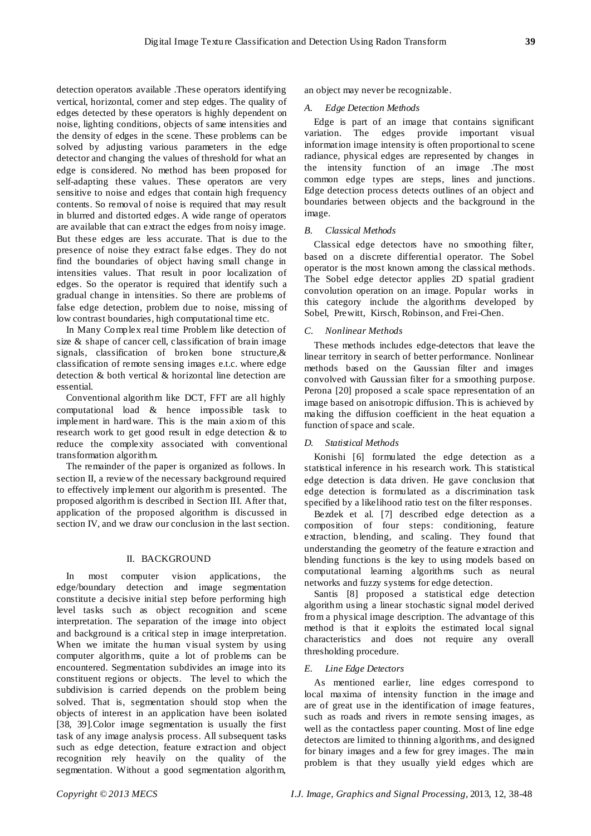detection operators available .These operators identifying vertical, horizontal, corner and step edges. The quality of edges detected by these operators is highly dependent on noise, lighting conditions, objects of same intensities and the density of edges in the scene. These problems can be solved by adjusting various parameters in the edge detector and changing the values of threshold for what an edge is considered. No method has been proposed for self-adapting these values. These operators are very sensitive to noise and edges that contain high frequency contents. So removal of noise is required that may result in blurred and distorted edges. A wide range of operators are available that can extract the edges from noisy image. But these edges are less accurate. That is due to the presence of noise they extract false edges. They do not find the boundaries of object having small change in intensities values. That result in poor localization of edges. So the operator is required that identify such a gradual change in intensities. So there are problems of false edge detection, problem due to noise, missing of low contrast boundaries, high computational time etc.

In Many Complex real time Problem like detection of size & shape of cancer cell, classification of brain image signals, classification of broken bone structure,& classification of remote sensing images e.t.c. where edge detection & both vertical & horizontal line detection are essential.

Conventional algorithm like DCT, FFT are all highly computational load & hence impossible task to implement in hardware. This is the main axiom of this research work to get good result in edge detection & to reduce the complexity associated with conventional transformation algorithm.

The remainder of the paper is organized as follows. In section II, a review of the necessary background required to effectively implement our algorithm is presented. The proposed algorithm is described in Section III. After that, application of the proposed algorithm is discussed in section IV, and we draw our conclusion in the last section.

### II. BACKGROUND

most computer vision applications, the edge/boundary detection and image segmentation constitute a decisive initial step before performing high level tasks such as object recognition and scene interpretation. The separation of the image into object and background is a critical step in image interpretation. When we imitate the human visual system by using computer algorithms, quite a lot of problems can be encountered. Segmentation subdivides an image into its constituent regions or objects. The level to which the subdivision is carried depends on the problem being solved. That is, segmentation should stop when the objects of interest in an application have been isolated [38, 39].Color image segmentation is usually the first task of any image analysis process. All subsequent tasks such as edge detection, feature extraction and object recognition rely heavily on the quality of the segmentation. Without a good segmentation algorithm,

an object may never be recognizable.

## *A. Edge Detection Methods*

Edge is part of an image that contains significant variation. The edges provide important visual information image intensity is often proportional to scene radiance, physical edges are represented by changes in the intensity function of an image .The most common edge types are steps, lines and junctions. Edge detection process detects outlines of an object and boundaries between objects and the background in the image.

## *B. Classical Methods*

Classical edge detectors have no smoothing filter, based on a discrete differential operator. The Sobel operator is the most known among the classical methods. The Sobel edge detector applies 2D spatial gradient convolution operation on an image. Popular works in this category include the algorithms developed by Sobel, Prewitt, Kirsch, Robinson, and Frei-Chen.

## *C. Nonlinear Methods*

These methods includes edge-detectors that leave the linear territory in search of better performance. Nonlinear methods based on the Gaussian filter and images convolved with Gaussian filter for a smoothing purpose. Perona [20] proposed a scale space representation of an image based on anisotropic diffusion. This is achieved by making the diffusion coefficient in the heat equation a function of space and scale.

# *D. Statistical Methods*

Konishi [6] formulated the edge detection as a statistical inference in his research work. This statistical edge detection is data driven. He gave conclusion that edge detection is formulated as a discrimination task specified by a likelihood ratio test on the filter responses.

Bezdek et al. [7] described edge detection as a composition of four steps: conditioning, feature extraction, blending, and scaling. They found that understanding the geometry of the feature extraction and blending functions is the key to using models based on computational learning algorithms such as neural networks and fuzzy systems for edge detection.

Santis [8] proposed a statistical edge detection algorithm using a linear stochastic signal model derived from a physical image description. The advantage of this method is that it exploits the estimated local signal characteristics and does not require any overall thresholding procedure.

## *E. Line Edge Detectors*

As mentioned earlier, line edges correspond to local maxima of intensity function in the image and are of great use in the identification of image features, such as roads and rivers in remote sensing images, as well as the contactless paper counting. Most of line edge detectors are limited to thinning algorithms, and designed for binary images and a few for grey images. The main problem is that they usually yield edges which are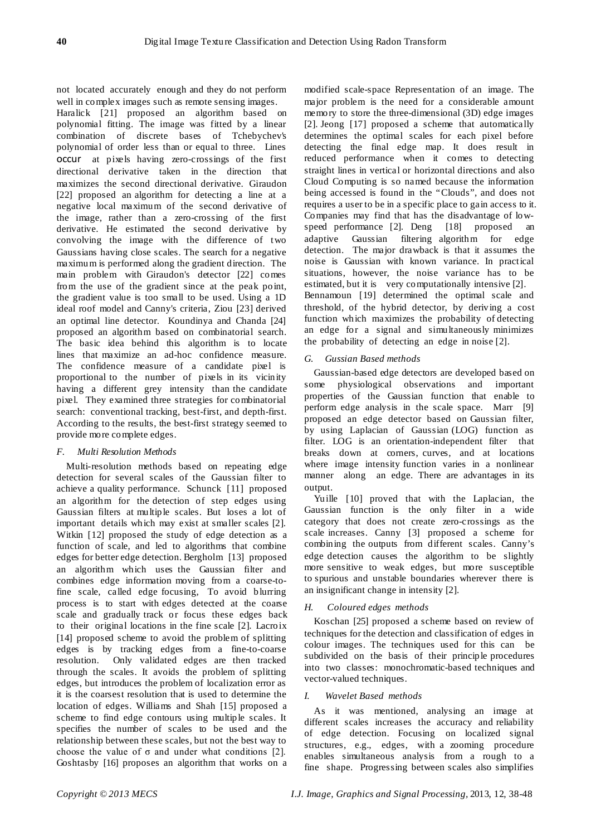not located accurately enough and they do not perform well in complex images such as remote sensing images.

Haralick [21] proposed an algorithm based on polynomial fitting. The image was fitted by a linear combination of discrete bases of Tchebychev's polynomial of order less than or equal to three. Lines occur at pixels having zero-crossings of the first directional derivative taken in the direction that maximizes the second directional derivative. Giraudon [22] proposed an algorithm for detecting a line at a negative local maximum of the second derivative of the image, rather than a zero-crossing of the first derivative. He estimated the second derivative by convolving the image with the difference of two Gaussians having close scales. The search for a negative maximum is performed along the gradient direction. The main problem with Giraudon's detector [22] comes from the use of the gradient since at the peak point, the gradient value is too small to be used. Using a 1D ideal roof model and Canny's criteria, Ziou [23] derived an optimal line detector. Koundinya and Chanda [24] proposed an algorithm based on combinatorial search. The basic idea behind this algorithm is to locate lines that maximize an ad-hoc confidence measure. The confidence measure of a candidate pixel is proportional to the number of pixels in its vicinity having a different grey intensity than the candidate pixel. They examined three strategies for combinatorial search: conventional tracking, best-first, and depth-first. According to the results, the best-first strategy seemed to provide more complete edges.

# *F. Multi Resolution Methods*

Multi-resolution methods based on repeating edge detection for several scales of the Gaussian filter to achieve a quality performance. Schunck [11] proposed an algorithm for the detection of step edges using Gaussian filters at multiple scales. But loses a lot of important details which may exist at smaller scales [2]. Witkin [12] proposed the study of edge detection as a function of scale, and led to algorithms that combine edges for better edge detection. Bergholm [13] proposed an algorithm which uses the Gaussian filter and combines edge information moving from a coarse-tofine scale, called edge focusing, To avoid blurring process is to start with edges detected at the coarse scale and gradually track or focus these edges back to their original locations in the fine scale [2]. Lacroix [14] proposed scheme to avoid the problem of splitting edges is by tracking edges from a fine-to-coarse resolution. Only validated edges are then tracked through the scales. It avoids the problem of splitting edges, but introduces the problem of localization error as it is the coarsest resolution that is used to determine the location of edges. Williams and Shah [15] proposed a scheme to find edge contours using multiple scales. It specifies the number of scales to be used and the relationship between these scales, but not the best way to choose the value of  $\sigma$  and under what conditions [2]. Goshtasby [16] proposes an algorithm that works on a

modified scale-space Representation of an image. The major problem is the need for a considerable amount memory to store the three-dimensional (3D) edge images [2]. Jeong [17] proposed a scheme that automatically determines the optimal scales for each pixel before detecting the final edge map. It does result in reduced performance when it comes to detecting straight lines in vertical or horizontal directions and also Cloud Computing is so named because the information being accessed is found in the "Clouds", and does not requires a user to be in a specific place to gain access to it. Companies may find that has the disadvantage of lowspeed performance [2]. Deng [18] proposed an adaptive Gaussian filtering algorithm for edge detection. The major drawback is that it assumes the noise is Gaussian with known variance. In practical situations, however, the noise variance has to be estimated, but it is very computationally intensive [2]. Bennamoun [19] determined the optimal scale and threshold, of the hybrid detector, by deriving a cost function which maximizes the probability of detecting an edge for a signal and simultaneously minimizes the probability of detecting an edge in noise [2].

### *G. Gussian Based methods*

Gaussian-based edge detectors are developed based on some physiological observations and important properties of the Gaussian function that enable to perform edge analysis in the scale space. Marr [9] proposed an edge detector based on Gaussian filter, by using Laplacian of Gaussian (LOG) function as filter. LOG is an orientation-independent filter that breaks down at corners, curves, and at locations where image intensity function varies in a nonlinear manner along an edge. There are advantages in its output.

Yuille [10] proved that with the Laplacian, the Gaussian function is the only filter in a wide category that does not create zero-crossings as the scale increases. Canny [3] proposed a scheme for combining the outputs from different scales. Canny's edge detection causes the algorithm to be slightly more sensitive to weak edges, but more susceptible to spurious and unstable boundaries wherever there is an insignificant change in intensity [2].

### *H. Coloured edges methods*

Koschan [25] proposed a scheme based on review of techniques for the detection and classification of edges in colour images. The techniques used for this can be subdivided on the basis of their principle procedures into two classes: monochromatic-based techniques and vector-valued techniques.

### *I. Wavelet Based methods*

As it was mentioned, analysing an image at different scales increases the accuracy and reliability of edge detection. Focusing on localized signal structures, e.g., edges, with a zooming procedure enables simultaneous analysis from a rough to a fine shape. Progressing between scales also simplifies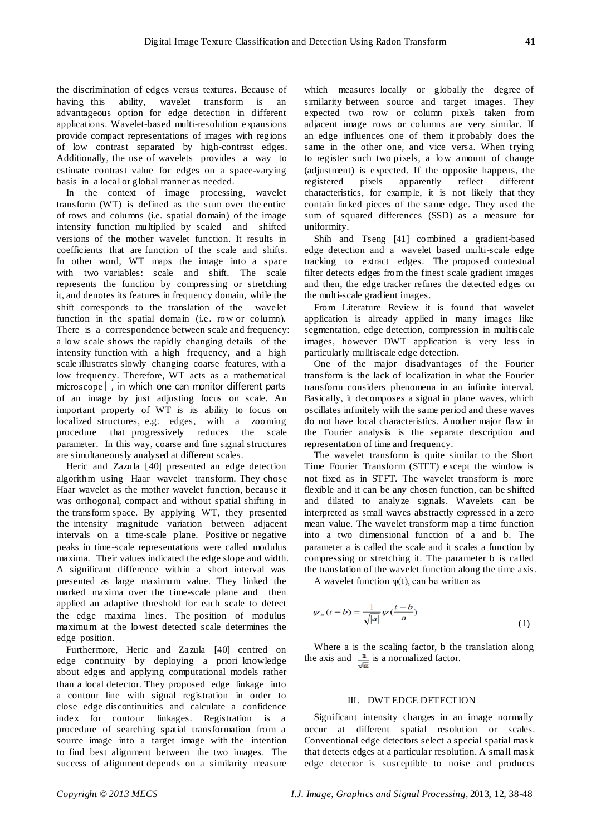the discrimination of edges versus textures. Because of having this ability, wavelet transform is an advantageous option for edge detection in different applications. Wavelet-based multi-resolution expansions provide compact representations of images with regions of low contrast separated by high-contrast edges. Additionally, the use of wavelets provides a way to estimate contrast value for edges on a space-varying basis in a local or global manner as needed.

In the context of image processing, wavelet transform (WT) is defined as the sum over the entire of rows and columns (i.e. spatial domain) of the image intensity function multiplied by scaled and shifted versions of the mother wavelet function. It results in coefficients that are function of the scale and shifts. In other word, WT maps the image into a space with two variables: scale and shift. The scale represents the function by compressing or stretching it, and denotes its features in frequency domain, while the shift corresponds to the translation of the wavelet function in the spatial domain (i.e. row or column). There is a correspondence between scale and frequency: a low scale shows the rapidly changing details of the intensity function with a high frequency, and a high scale illustrates slowly changing coarse features, with a low frequency. Therefore, WT acts as a mathematical microscope‖, in which one can monitor different parts of an image by just adjusting focus on scale. An important property of WT is its ability to focus on localized structures, e.g. edges, with a zooming procedure that progressively reduces the scale parameter. In this way, coarse and fine signal structures are simultaneously analysed at different scales.

Heric and Zazula [40] presented an edge detection algorithm using Haar wavelet transform. They chose Haar wavelet as the mother wavelet function, because it was orthogonal, compact and without spatial shifting in the transform space. By applying WT, they presented the intensity magnitude variation between adjacent intervals on a time-scale plane. Positive or negative peaks in time-scale representations were called modulus maxima. Their values indicated the edge slope and width. A significant difference within a short interval was presented as large maximum value. They linked the marked maxima over the time-scale plane and then applied an adaptive threshold for each scale to detect the edge maxima lines. The position of modulus maximum at the lowest detected scale determines the edge position.

Furthermore, Heric and Zazula [40] centred on edge continuity by deploying a priori knowledge about edges and applying computational models rather than a local detector. They proposed edge linkage into a contour line with signal registration in order to close edge discontinuities and calculate a confidence index for contour linkages. Registration is a procedure of searching spatial transformation from a source image into a target image with the intention to find best alignment between the two images. The success of alignment depends on a similarity measure

which measures locally or globally the degree of similarity between source and target images. They expected two row or column pixels taken from adjacent image rows or columns are very similar. If an edge influences one of them it probably does the same in the other one, and vice versa. When trying to register such two pixels, a low amount of change (adjustment) is expected. If the opposite happens, the registered pixels apparently reflect different characteristics, for example, it is not likely that they contain linked pieces of the same edge. They used the sum of squared differences (SSD) as a measure for uniformity.

Shih and Tseng [41] combined a gradient-based edge detection and a wavelet based multi-scale edge tracking to extract edges. The proposed contextual filter detects edges from the finest scale gradient images and then, the edge tracker refines the detected edges on the multi-scale gradient images.

From Literature Review it is found that wavelet application is already applied in many images like segmentation, edge detection, compression in multiscale images, however DWT application is very less in particularly mulltiscale edge detection.

One of the major disadvantages of the Fourier transform is the lack of localization in what the Fourier transform considers phenomena in an infinite interval. Basically, it decomposes a signal in plane waves, which oscillates infinitely with the same period and these waves do not have local characteristics. Another major flaw in the Fourier analysis is the separate description and representation of time and frequency.

The wavelet transform is quite similar to the Short Time Fourier Transform (STFT) except the window is not fixed as in STFT. The wavelet transform is more flexible and it can be any chosen function, can be shifted and dilated to analyze signals. Wavelets can be interpreted as small waves abstractly expressed in a zero mean value. The wavelet transform map a time function into a two dimensional function of a and b. The parameter a is called the scale and it scales a function by compressing or stretching it. The parameter b is called the translation of the wavelet function along the time axis.

A wavelet function  $\psi(t)$ , can be written as

$$
\psi_a(t-b) = \frac{1}{\sqrt{|a|}} \psi(\frac{t-b}{a})
$$
\n(1)

Where a is the scaling factor, b the translation along the axis and  $\frac{1}{\sqrt{n}}$  is a normalized factor.

## III. DWT EDGE DETECTION

Significant intensity changes in an image normally occur at different spatial resolution or scales. Conventional edge detectors select a special spatial mask that detects edges at a particular resolution. A small mask edge detector is susceptible to noise and produces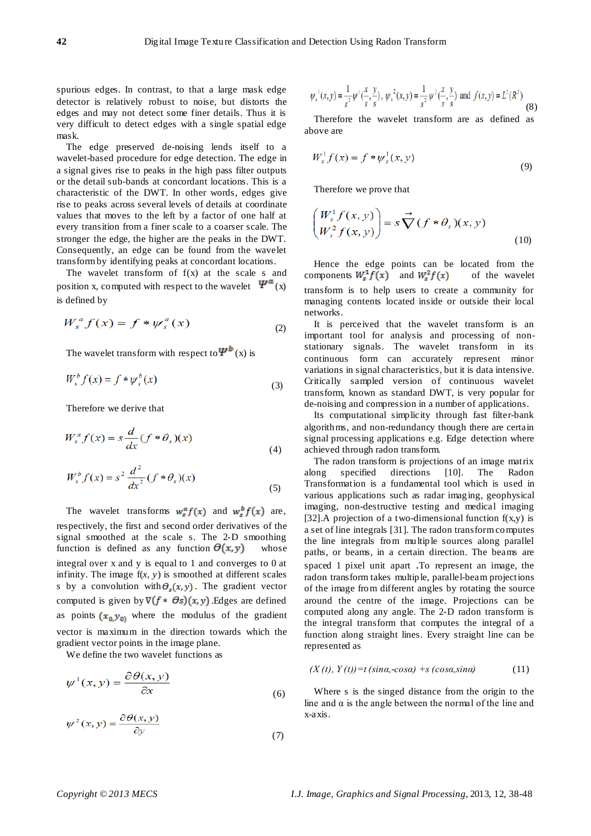spurious edges. In contrast, to that a large mask edge detector is relatively robust to noise, but distorts the edges and may not detect some finer details. Thus it is very difficult to detect edges with a single spatial edge mask.

The edge preserved de-noising lends itself to a wavelet-based procedure for edge detection. The edge in a signal gives rise to peaks in the high pass filter outputs or the detail sub-bands at concordant locations. This is a characteristic of the DWT. In other words, edges give rise to peaks across several levels of details at coordinate values that moves to the left by a factor of one half at every transition from a finer scale to a coarser scale. The stronger the edge, the higher are the peaks in the DWT. Consequently, an edge can be found from the wavelet transform by identifying peaks at concordant locations.

The wavelet transform of  $f(x)$  at the scale s and position x, computed with respect to the wavelet  $\Psi^{\alpha}(x)$ is defined by

$$
W_s^a f(x) = f * \psi_s^a(x)
$$
 (2)

The wavelet transform with respect to  $\Psi^b(x)$  is

$$
W_s^b f(x) = f^* \psi_s^b(x)
$$
\n(3)

Therefore we derive that

$$
W_s^a f(x) = s \frac{d}{dx} (f * \theta_s)(x)
$$
\n(4)

$$
W_s^b f(x) = s^2 \frac{d^2}{dx^2} (f * \theta_s)(x)
$$
\n(5)

The wavelet transforms  $w_g^{\alpha} f(x)$  and  $w_g^b f(x)$  are, respectively, the first and second order derivatives of the signal smoothed at the scale s. The 2-D smoothing function is defined as any function  $\Theta(x,y)$  whose integral over x and y is equal to 1 and converges to 0 at infinity. The image  $f(x, y)$  is smoothed at different scales s by a convolution with  $\theta_s(x, y)$ . The gradient vector computed is given by  $\nabla (f * \Theta s)(x, y)$ . Edges are defined as points  $(x_0, y_0)$  where the modulus of the gradient vector is maximum in the direction towards which the gradient vector points in the image plane.

We define the two wavelet functions as

$$
\psi^1(x, y) = \frac{\partial \theta(x, y)}{\partial x} \tag{6}
$$

$$
\psi^{2}(x, y) = \frac{\partial \theta(x, y)}{\partial y}
$$
\n(7)

$$
\psi_s^{-1}(x, y) = \frac{1}{s^2} \psi^1(\frac{x}{s}, \frac{y}{s}), \psi_s^{-2}(x, y) = \frac{1}{s^2} \psi^2(\frac{x}{s}, \frac{y}{s}) \text{ and } f(x, y) = L^2(R^2)
$$
(8)

Therefore the wavelet transform are as defined as above are

$$
W_s^1 f(x) = f * \psi_s^1(x, y)
$$
\n(9)

Therefore we prove that

$$
\begin{pmatrix} W_s^1 f(x, y) \\ W_s^2 f(x, y) \end{pmatrix} = s \overrightarrow{\nabla} (f * \theta_s)(x, y)
$$
\n(10)

Hence the edge points can be located from the components  $W_s^1 f(x)$  and  $W_s^2 f(x)$  of the wavelet transform is to help users to create a community for managing contents located inside or outside their local networks.

It is perceived that the wavelet transform is an important tool for analysis and processing of nonstationary signals. The wavelet transform in its continuous form can accurately represent minor variations in signal characteristics, but it is data intensive. Critically sampled version of continuous wavelet transform, known as standard DWT, is very popular for de-noising and compression in a number of applications.

Its computational simplicity through fast filter-bank algorithms, and non-redundancy though there are certain signal processing applications e.g. Edge detection where achieved through radon transform.

The radon transform is projections of an image matrix along specified directions [10]. The Radon Transformation is a fundamental tool which is used in various applications such as radar imaging, geophysical imaging, non-destructive testing and medical imaging [32].A projection of a two-dimensional function  $f(x,y)$  is a set of line integrals [31]. The radon transform computes the line integrals from multiple sources along parallel paths, or beams, in a certain direction. The beams are spaced 1 pixel unit apart .To represent an image, the radon transform takes multiple, parallel-beam projections of the image from different angles by rotating the source around the centre of the image. Projections can be computed along any angle. The 2-D radon transform is the integral transform that computes the integral of a function along straight lines. Every straight line can be represented as

$$
(X(t), Y(t)) = t(\sin\alpha, -\cos\alpha) + s(\cos\alpha, \sin\alpha) \tag{11}
$$

Where s is the singed distance from the origin to the line and  $\alpha$  is the angle between the normal of the line and x-axis.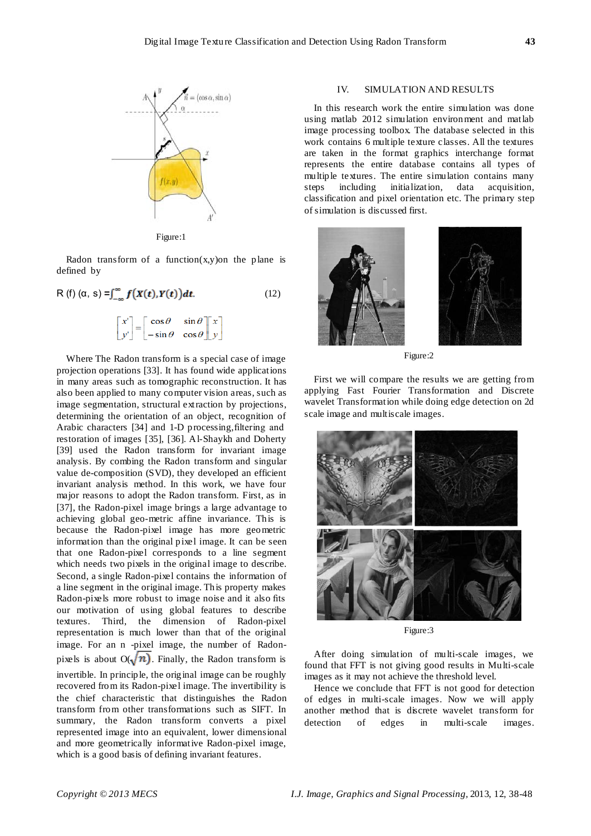

Figure:1

Radon transform of a function $(x,y)$ on the plane is defined by

$$
R(f) (a, s) = \int_{-\infty}^{\infty} f\big(X(t), Y(t)\big) dt.
$$
\n
$$
\begin{bmatrix} x' \\ y' \end{bmatrix} = \begin{bmatrix} \cos \theta & \sin \theta \\ -\sin \theta & \cos \theta \end{bmatrix} \begin{bmatrix} x \\ y \end{bmatrix}
$$
\n(12)

Where The Radon transform is a special case of image projection operations [33]. It has found wide applications in many areas such as tomographic reconstruction. It has also been applied to many computer vision areas, such as image segmentation, structural extraction by projections, determining the orientation of an object, recognition of Arabic characters [34] and 1-D processing, filtering and restoration of images [35], [36]. Al-Shaykh and Doherty [39] used the Radon transform for invariant image analysis. By combing the Radon transform and singular value de-composition (SVD), they developed an efficient invariant analysis method. In this work, we have four major reasons to adopt the Radon transform. First, as in [37], the Radon-pixel image brings a large advantage to achieving global geo-metric affine invariance. This is because the Radon-pixel image has more geometric information than the original pixel image. It can be seen that one Radon-pixel corresponds to a line segment which needs two pixels in the original image to describe. Second, a single Radon-pixel contains the information of a line segment in the original image. This property makes Radon-pixels more robust to image noise and it also fits our motivation of using global features to describe textures. Third, the dimension of Radon-pixel representation is much lower than that of the original image. For an n -pixel image, the number of Radonpixels is about  $O(\sqrt{n})$ . Finally, the Radon transform is invertible. In principle, the original image can be roughly recovered from its Radon-pixel image. The invertibility is the chief characteristic that distinguishes the Radon transform from other transformations such as SIFT. In summary, the Radon transform converts a pixel represented image into an equivalent, lower dimensional and more geometrically informative Radon-pixel image, which is a good basis of defining invariant features.

#### IV. SIMULATION AND RESULTS

In this research work the entire simulation was done using matlab 2012 simulation environment and matlab image processing toolbox. The database selected in this work contains 6 multiple texture classes. All the textures are taken in the format graphics interchange format represents the entire database contains all types of multiple textures. The entire simulation contains many steps including initialization, data acquisition, classification and pixel orientation etc. The primary step of simulation is discussed first.



Figure:2

First we will compare the results we are getting from applying Fast Fourier Transformation and Discrete wavelet Transformation while doing edge detection on 2d scale image and multiscale images.



Figure:3

After doing simulation of multi-scale images, we found that FFT is not giving good results in Multi-scale images as it may not achieve the threshold level.

Hence we conclude that FFT is not good for detection of edges in multi-scale images. Now we will apply another method that is discrete wavelet transform for detection of edges in multi-scale images.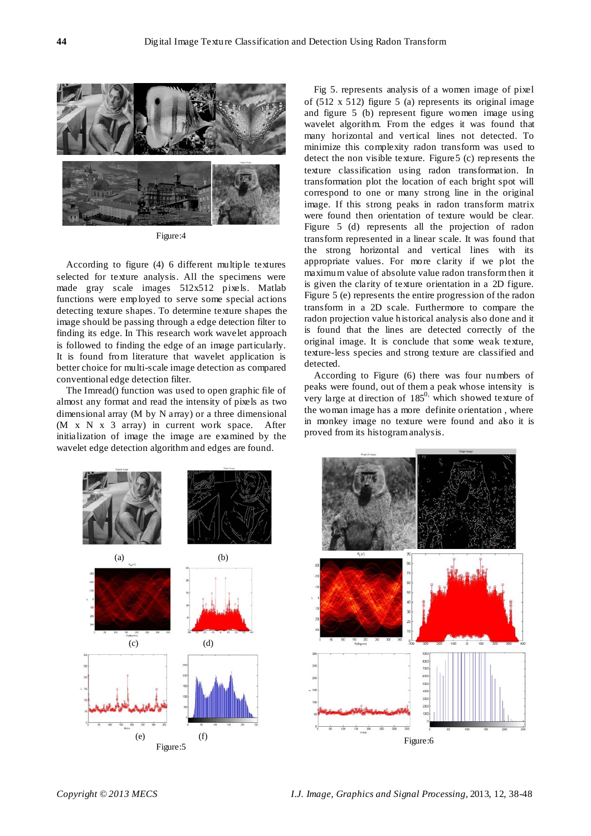

Figure:4

According to figure (4) 6 different multiple textures selected for texture analysis. All the specimens were made gray scale images 512x512 pixels. Matlab functions were employed to serve some special actions detecting texture shapes. To determine texture shapes the image should be passing through a edge detection filter to finding its edge. In This research work wavelet approach is followed to finding the edge of an image particularly. It is found from literature that wavelet application is better choice for multi-scale image detection as compared conventional edge detection filter.

The Imread() function was used to open graphic file of almost any format and read the intensity of pixels as two dimensional array (M by N array) or a three dimensional (M x N x 3 array) in current work space. After initialization of image the image are examined by the wavelet edge detection algorithm and edges are found.

Fig 5. represents analysis of a women image of pixel of (512 x 512) figure 5 (a) represents its original image and figure 5 (b) represent figure women image using wavelet algorithm. From the edges it was found that many horizontal and vertical lines not detected. To minimize this complexity radon transform was used to detect the non visible texture. Figure5 (c) represents the texture classification using radon transformation. In transformation plot the location of each bright spot will correspond to one or many strong line in the original image. If this strong peaks in radon transform matrix were found then orientation of texture would be clear. Figure 5 (d) represents all the projection of radon transform represented in a linear scale. It was found that the strong horizontal and vertical lines with its appropriate values. For more clarity if we plot the maximum value of absolute value radon transform then it is given the clarity of texture orientation in a 2D figure. Figure 5 (e) represents the entire progression of the radon transform in a 2D scale. Furthermore to compare the radon projection value historical analysis also done and it is found that the lines are detected correctly of the original image. It is conclude that some weak texture, texture-less species and strong texture are classified and detected.

According to Figure (6) there was four numbers of peaks were found, out of them a peak whose intensity is very large at direction of  $185^\circ$ , which showed texture of the woman image has a more definite orientation , where in monkey image no texture were found and also it is proved from its histogram analysis.



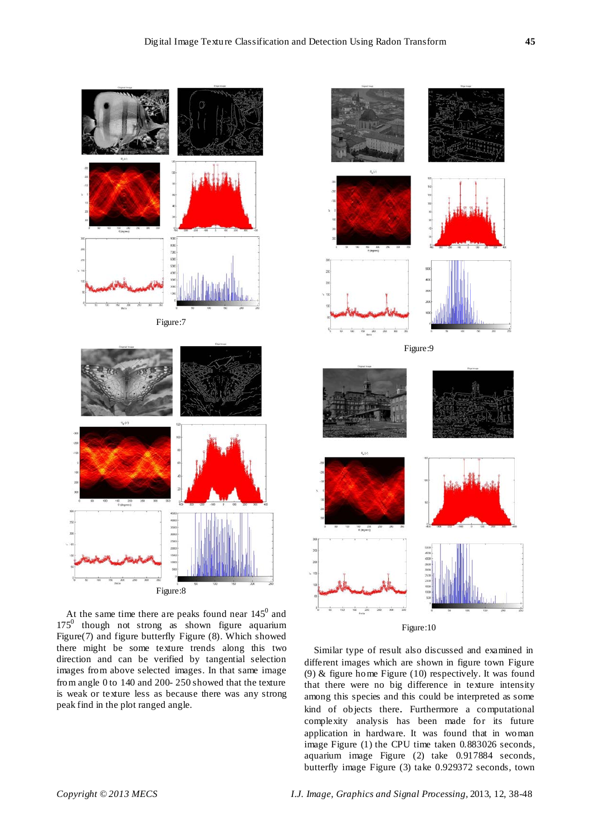

At the same time there are peaks found near  $145^{\circ}$  and  $175<sup>0</sup>$  though not strong as shown figure aquarium Figure(7) and figure butterfly Figure (8). Which showed there might be some texture trends along this two direction and can be verified by tangential selection images from above selected images. In that same image from angle 0 to 140 and 200- 250 showed that the texture is weak or texture less as because there was any strong peak find in the plot ranged angle.



## Figure:10

Similar type of result also discussed and examined in different images which are shown in figure town Figure (9) & figure home Figure (10) respectively. It was found that there were no big difference in texture intensity among this species and this could be interpreted as some kind of objects there. Furthermore a computational complexity analysis has been made for its future application in hardware. It was found that in woman image Figure (1) the CPU time taken 0.883026 seconds, aquarium image Figure (2) take 0.917884 seconds, butterfly image Figure (3) take 0.929372 seconds, town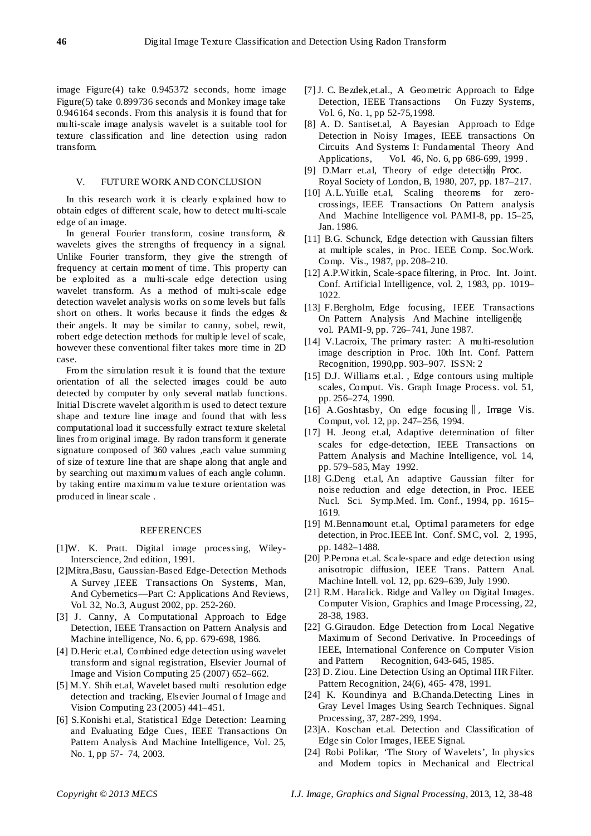image Figure(4) take 0.945372 seconds, home image Figure(5) take 0.899736 seconds and Monkey image take 0.946164 seconds. From this analysis it is found that for multi-scale image analysis wavelet is a suitable tool for texture classification and line detection using radon transform.

### V. FUTURE WORK AND CONCLUSION

In this research work it is clearly explained how to obtain edges of different scale, how to detect multi-scale edge of an image.

In general Fourier transform, cosine transform, & wavelets gives the strengths of frequency in a signal. Unlike Fourier transform, they give the strength of frequency at certain moment of time. This property can be exploited as a multi-scale edge detection using wavelet transform. As a method of multi-scale edge detection wavelet analysis works on some levels but falls short on others. It works because it finds the edges & their angels. It may be similar to canny, sobel, rewit, robert edge detection methods for multiple level of scale, however these conventional filter takes more time in 2D case.

From the simulation result it is found that the texture orientation of all the selected images could be auto detected by computer by only several matlab functions. Initial Discrete wavelet algorithm is used to detect texture shape and texture line image and found that with less computational load it successfully extract texture skeletal lines from original image. By radon transform it generate signature composed of 360 values ,each value summing of size of texture line that are shape along that angle and by searching out maximum values of each angle column. by taking entire maximum value texture orientation was produced in linear scale .

#### REFERENCES

- [1]W. K. Pratt. Digital image processing, Wiley-Interscience, 2nd edition, 1991.
- [2]Mitra,Basu, Gaussian-Based Edge-Detection Methods A Survey ,IEEE Transactions On Systems, Man, And Cybernetics—Part C: Applications And Reviews, Vol. 32, No.3, August 2002, pp. 252-260.
- [3] J. Canny, A Computational Approach to Edge Detection, IEEE Transaction on Pattern Analysis and Machine intelligence, No. 6, pp. 679-698, 1986.
- [4] D.Heric et.al, Combined edge detection using wavelet transform and signal registration, Elsevier Journal of Image and Vision Computing 25 (2007) 652–662.
- [5] M.Y. Shih et.al, Wavelet based multi resolution edge detection and tracking, Elsevier Journal of Image and Vision Computing 23 (2005) 441–451.
- [6] S.Konishi et.al, Statistical Edge Detection: Learning and Evaluating Edge Cues, IEEE Transactions On Pattern Analysis And Machine Intelligence, Vol. 25, No. 1, pp 57- 74, 2003.
- [7] J. C. Bezdek,et.al., A Geometric Approach to Edge Detection, IEEE Transactions On Fuzzy Systems, Vol. 6, No. 1, pp 52-75,1998.
- [8] A. D. Santiset.al, A Bayesian Approach to Edge Detection in Noisy Images, IEEE transactions On Circuits And Systems I: Fundamental Theory And Applications, Vol. 46, No. 6, pp 686-699, 1999 .
- [9] D.Marr et.al. Theory of edge detectidn Proc. Royal Society of London, B, 1980, 207, pp. 187–217.
- [10] A.L.Yuille et.al, Scaling theorems for zerocrossings, IEEE Transactions On Pattern analysis And Machine Intelligence vol. PAMI-8, pp. 15–25, Jan. 1986.
- [11] B.G. Schunck, Edge detection with Gaussian filters at multiple scales, in Proc. IEEE Comp. Soc.Work. Comp. Vis., 1987, pp. 208–210.
- [12] A.P.W itkin, Scale-space filtering, in Proc. Int. Joint. Conf. Artificial Intelligence, vol. 2, 1983, pp. 1019– 1022.
- [13] F.Bergholm, Edge focusing, IEEE Transactions On Pattern Analysis And Machine intelligende, vol. PAMI-9, pp. 726–741, June 1987.
- [14] V.Lacroix, The primary raster: A multi-resolution image description in Proc. 10th Int. Conf. Pattern Recognition, 1990,pp. 903–907. ISSN: 2
- [15] D.J. Williams et.al., Edge contours using multiple scales, Comput. Vis. Graph Image Process. vol. 51, pp. 256–274, 1990.
- [16] A.Goshtasby, On edge focusing‖, Image Vis. Comput, vol. 12, pp. 247–256, 1994.
- [17] H. Jeong et.al, Adaptive determination of filter scales for edge-detection, IEEE Transactions on Pattern Analysis and Machine Intelligence, vol. 14, pp. 579–585, May 1992.
- [18] G.Deng et.al, An adaptive Gaussian filter for noise reduction and edge detection, in Proc. IEEE Nucl. Sci. Symp.Med. Im. Conf., 1994, pp. 1615– 1619.
- [19] M.Bennamount et.al, Optimal parameters for edge detection, in Proc.IEEE Int. Conf. SMC, vol. 2, 1995, pp. 1482–1488.
- [20] P.Perona et.al. Scale-space and edge detection using anisotropic diffusion, IEEE Trans. Pattern Anal. Machine Intell. vol. 12, pp. 629–639, July 1990.
- [21] R.M. Haralick. Ridge and Valley on Digital Images. Computer Vision, Graphics and Image Processing, 22, 28-38, 1983.
- [22] G.Giraudon. Edge Detection from Local Negative Maximum of Second Derivative. In Proceedings of IEEE, International Conference on Computer Vision and Pattern Recognition, 643-645, 1985.
- [23] D. Ziou. Line Detection Using an Optimal IIR Filter. Pattern Recognition, 24(6), 465- 478, 1991.
- [24] K. Koundinya and B.Chanda.Detecting Lines in Gray Level Images Using Search Techniques. Signal Processing, 37, 287-299, 1994.
- [23]A. Koschan et.al. Detection and Classification of Edge sin Color Images, IEEE Signal.
- [24] Robi Polikar, 'The Story of Wavelets', In physics and Modern topics in Mechanical and Electrical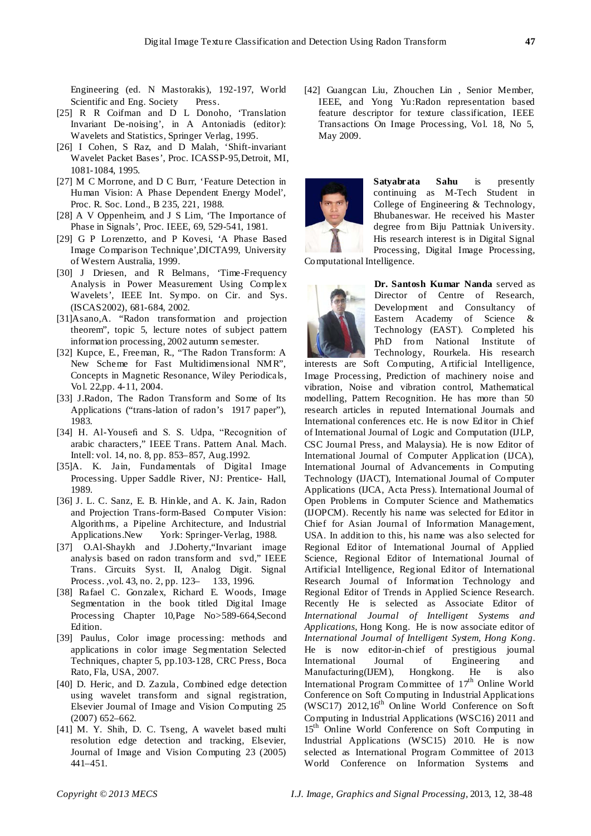Engineering (ed. N Mastorakis), 192-197, World Scientific and Eng. Society Press.

- [25] R R Coifman and D L Donoho, 'Translation Invariant De-noising', in A Antoniadis (editor): Wavelets and Statistics, Springer Verlag, 1995.
- [26] I Cohen, S Raz, and D Malah, 'Shift-invariant Wavelet Packet Bases', Proc. ICASSP-95,Detroit, MI, 1081-1084, 1995.
- [27] M C Morrone, and D C Burr, 'Feature Detection in Human Vision: A Phase Dependent Energy Model', Proc. R. Soc. Lond., B 235, 221, 1988.
- [28] A V Oppenheim, and J S Lim, 'The Importance of Phase in Signals', Proc. IEEE, 69, 529-541, 1981.
- [29] G P Lorenzetto, and P Kovesi, 'A Phase Based Image Comparison Technique',DICTA99, University of Western Australia, 1999.
- [30] J Driesen, and R Belmans, 'Time-Frequency Analysis in Power Measurement Using Complex Wavelets', IEEE Int. Sympo. on Cir. and Sys. (ISCAS2002), 681-684, 2002.
- [31]Asano,A. "Radon transformation and projection theorem", topic 5, lecture notes of subject pattern information processing, 2002 autumn semester.
- [32] Kupce, E., Freeman, R., "The Radon Transform: A New Scheme for Fast Multidimensional NMR", Concepts in Magnetic Resonance, Wiley Periodicals, Vol. 22,pp. 4-11, 2004.
- [33] J.Radon, The Radon Transform and Some of Its Applications ("trans-lation of radon's 1917 paper"), 1983.
- [34] H. Al-Yousefi and S. S. Udpa, "Recognition of arabic characters," IEEE Trans. Pattern Anal. Mach. Intell: vol. 14, no. 8, pp. 853–857, Aug.1992.
- [35]A. K. Jain, Fundamentals of Digital Image Processing. Upper Saddle River, NJ: Prentice- Hall, 1989.
- [36] J. L. C. Sanz, E. B. Hinkle, and A. K. Jain, Radon and Projection Trans-form-Based Computer Vision: Algorithms, a Pipeline Architecture, and Industrial Applications.New York: Springer-Verlag, 1988.
- [37] O.Al-Shaykh and J.Doherty,"Invariant image analysis based on radon transform and svd," IEEE Trans. Circuits Syst. II, Analog Digit. Signal Process. ,vol. 43, no. 2, pp. 123– 133, 1996.
- [38] Rafael C. Gonzalex, Richard E. Woods, Image Segmentation in the book titled Digital Image Processing Chapter 10,Page No>589-664,Second Edition.
- [39] Paulus, Color image processing: methods and applications in color image Segmentation Selected Techniques, chapter 5, pp.103-128, CRC Press, Boca Rato, Fla, USA, 2007.
- [40] D. Heric, and D. Zazula, Combined edge detection using wavelet transform and signal registration, Elsevier Journal of Image and Vision Computing 25 (2007) 652–662.
- [41] M. Y. Shih, D. C. Tseng, A wavelet based multi resolution edge detection and tracking, Elsevier, Journal of Image and Vision Computing 23 (2005) 441–451.

[42] Guangcan Liu, Zhouchen Lin , Senior Member, IEEE, and Yong Yu:Radon representation based feature descriptor for texture classification, IEEE Transactions On Image Processing, Vol. 18, No 5, May 2009.



**Satyabrata Sahu** is presently continuing as M-Tech Student in College of Engineering & Technology, Bhubaneswar. He received his Master degree from Biju Pattniak University. His research interest is in Digital Signal Processing, Digital Image Processing,

Computational Intelligence.



**Dr. Santosh Kumar Nanda** served as Director of Centre of Research, Development and Consultancy of Eastern Academy of Science & Technology (EAST). Completed his PhD from National Institute of Technology, Rourkela. His research

interests are Soft Computing, Artificial Intelligence, Image Processing, Prediction of machinery noise and vibration, Noise and vibration control, Mathematical modelling, Pattern Recognition. He has more than 50 research articles in reputed International Journals and International conferences etc. He is now Editor in Chief of International Journal of Logic and Computation (IJLP, CSC Journal Press, and Malaysia). He is now Editor of International Journal of Computer Application (IJCA), International Journal of Advancements in Computing Technology (IJACT), International Journal of Computer Applications (IJCA, Acta Press). International Journal of Open Problems in Computer Science and Mathematics (IJOPCM). Recently his name was selected for Editor in Chief for Asian Journal of Information Management, USA. In addition to this, his name was also selected for Regional Editor of International Journal of Applied Science, Regional Editor of International Journal of Artificial Intelligence, Regional Editor of International Research Journal of Information Technology and Regional Editor of Trends in Applied Science Research. Recently He is selected as Associate Editor of *International Journal of Intelligent Systems and Applications*, Hong Kong. He is now associate editor of *International Journal of Intelligent System, Hong Kong*. He is now editor-in-chief of prestigious journal International Journal of Engineering and Manufacturing(IJEM), Hongkong. He is also International Program Committee of 17<sup>th</sup> Online World Conference on Soft Computing in Industrial Applications (WSC17)  $2012,16^{th}$  Online World Conference on Soft Computing in Industrial Applications (WSC16) 2011 and 15<sup>th</sup> Online World Conference on Soft Computing in Industrial Applications (WSC15) 2010. He is now selected as International Program Committee of 2013 World Conference on Information Systems and